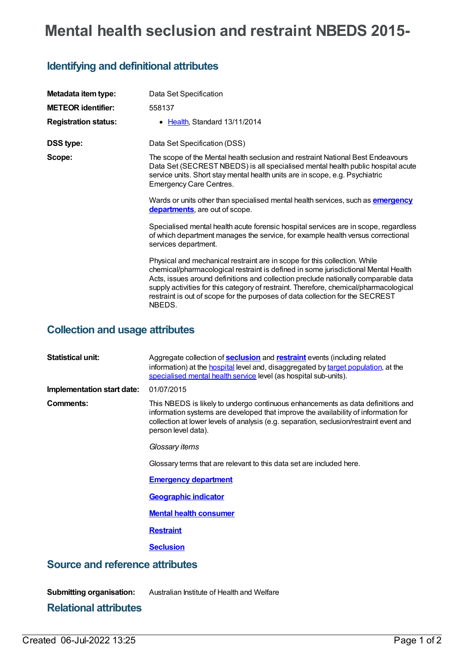# **Mental health seclusion and restraint NBEDS 2015-**

## **Identifying and definitional attributes**

| Metadata item type:<br><b>METEOR identifier:</b> | Data Set Specification<br>558137                                                                                                                                                                                                                                                                                                                                                                                                          |
|--------------------------------------------------|-------------------------------------------------------------------------------------------------------------------------------------------------------------------------------------------------------------------------------------------------------------------------------------------------------------------------------------------------------------------------------------------------------------------------------------------|
| <b>Registration status:</b>                      | • Health, Standard 13/11/2014                                                                                                                                                                                                                                                                                                                                                                                                             |
| <b>DSS type:</b>                                 | Data Set Specification (DSS)                                                                                                                                                                                                                                                                                                                                                                                                              |
| Scope:                                           | The scope of the Mental health seclusion and restraint National Best Endeavours<br>Data Set (SECREST NBEDS) is all specialised mental health public hospital acute<br>service units. Short stay mental health units are in scope, e.g. Psychiatric<br><b>Emergency Care Centres.</b>                                                                                                                                                      |
|                                                  | Wards or units other than specialised mental health services, such as <b>emergency</b><br>departments, are out of scope.                                                                                                                                                                                                                                                                                                                  |
|                                                  | Specialised mental health acute forensic hospital services are in scope, regardless<br>of which department manages the service, for example health versus correctional<br>services department.                                                                                                                                                                                                                                            |
|                                                  | Physical and mechanical restraint are in scope for this collection. While<br>chemical/pharmacological restraint is defined in some jurisdictional Mental Health<br>Acts, issues around definitions and collection preclude nationally comparable data<br>supply activities for this category of restraint. Therefore, chemical/pharmacological<br>restraint is out of scope for the purposes of data collection for the SECREST<br>NBEDS. |

## **Collection and usage attributes**

| <b>Statistical unit:</b>        | Aggregate collection of <b>seclusion</b> and <b>restraint</b> events (including related<br>information) at the <b>hospital</b> level and, disaggregated by target population, at the<br>specialised mental health service level (as hospital sub-units).                               |  |  |
|---------------------------------|----------------------------------------------------------------------------------------------------------------------------------------------------------------------------------------------------------------------------------------------------------------------------------------|--|--|
| Implementation start date:      | 01/07/2015                                                                                                                                                                                                                                                                             |  |  |
| Comments:                       | This NBEDS is likely to undergo continuous enhancements as data definitions and<br>information systems are developed that improve the availability of information for<br>collection at lower levels of analysis (e.g. separation, seclusion/restraint event and<br>person level data). |  |  |
|                                 | Glossary items                                                                                                                                                                                                                                                                         |  |  |
|                                 | Glossary terms that are relevant to this data set are included here.                                                                                                                                                                                                                   |  |  |
|                                 | <b>Emergency department</b>                                                                                                                                                                                                                                                            |  |  |
|                                 | <b>Geographic indicator</b>                                                                                                                                                                                                                                                            |  |  |
|                                 | <b>Mental health consumer</b>                                                                                                                                                                                                                                                          |  |  |
|                                 | <b>Restraint</b>                                                                                                                                                                                                                                                                       |  |  |
|                                 | <b>Seclusion</b>                                                                                                                                                                                                                                                                       |  |  |
| Source and reference attributes |                                                                                                                                                                                                                                                                                        |  |  |

**Submitting organisation:** Australian Institute of Health and Welfare

### **Relational attributes**